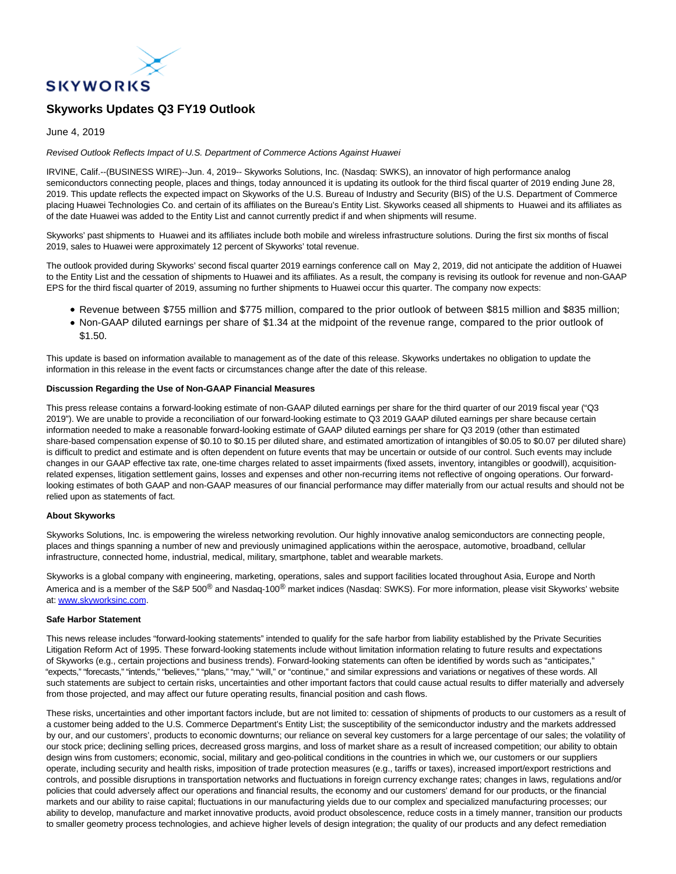

# **Skyworks Updates Q3 FY19 Outlook**

## June 4, 2019

## Revised Outlook Reflects Impact of U.S. Department of Commerce Actions Against Huawei

IRVINE, Calif.--(BUSINESS WIRE)--Jun. 4, 2019-- Skyworks Solutions, Inc. (Nasdaq: SWKS), an innovator of high performance analog semiconductors connecting people, places and things, today announced it is updating its outlook for the third fiscal quarter of 2019 ending June 28, 2019. This update reflects the expected impact on Skyworks of the U.S. Bureau of Industry and Security (BIS) of the U.S. Department of Commerce placing Huawei Technologies Co. and certain of its affiliates on the Bureau's Entity List. Skyworks ceased all shipments to Huawei and its affiliates as of the date Huawei was added to the Entity List and cannot currently predict if and when shipments will resume.

Skyworks' past shipments to Huawei and its affiliates include both mobile and wireless infrastructure solutions. During the first six months of fiscal 2019, sales to Huawei were approximately 12 percent of Skyworks' total revenue.

The outlook provided during Skyworks' second fiscal quarter 2019 earnings conference call on May 2, 2019, did not anticipate the addition of Huawei to the Entity List and the cessation of shipments to Huawei and its affiliates. As a result, the company is revising its outlook for revenue and non-GAAP EPS for the third fiscal quarter of 2019, assuming no further shipments to Huawei occur this quarter. The company now expects:

- Revenue between \$755 million and \$775 million, compared to the prior outlook of between \$815 million and \$835 million;
- Non-GAAP diluted earnings per share of \$1.34 at the midpoint of the revenue range, compared to the prior outlook of \$1.50.

This update is based on information available to management as of the date of this release. Skyworks undertakes no obligation to update the information in this release in the event facts or circumstances change after the date of this release.

## **Discussion Regarding the Use of Non-GAAP Financial Measures**

This press release contains a forward-looking estimate of non-GAAP diluted earnings per share for the third quarter of our 2019 fiscal year ("Q3 2019"). We are unable to provide a reconciliation of our forward-looking estimate to Q3 2019 GAAP diluted earnings per share because certain information needed to make a reasonable forward-looking estimate of GAAP diluted earnings per share for Q3 2019 (other than estimated share-based compensation expense of \$0.10 to \$0.15 per diluted share, and estimated amortization of intangibles of \$0.05 to \$0.07 per diluted share) is difficult to predict and estimate and is often dependent on future events that may be uncertain or outside of our control. Such events may include changes in our GAAP effective tax rate, one-time charges related to asset impairments (fixed assets, inventory, intangibles or goodwill), acquisitionrelated expenses, litigation settlement gains, losses and expenses and other non-recurring items not reflective of ongoing operations. Our forwardlooking estimates of both GAAP and non-GAAP measures of our financial performance may differ materially from our actual results and should not be relied upon as statements of fact.

## **About Skyworks**

Skyworks Solutions, Inc. is empowering the wireless networking revolution. Our highly innovative analog semiconductors are connecting people, places and things spanning a number of new and previously unimagined applications within the aerospace, automotive, broadband, cellular infrastructure, connected home, industrial, medical, military, smartphone, tablet and wearable markets.

Skyworks is a global company with engineering, marketing, operations, sales and support facilities located throughout Asia, Europe and North America and is a member of the S&P 500<sup>®</sup> and Nasdaq-100<sup>®</sup> market indices (Nasdaq: SWKS). For more information, please visit Skyworks' website at: [www.skyworksinc.com.](https://cts.businesswire.com/ct/CT?id=smartlink&url=http%3A%2F%2Fwww.skyworksinc.com&esheet=51994498&newsitemid=20190604006000&lan=en-US&anchor=www.skyworksinc.com&index=1&md5=37e7b24f5cd72992d7e29c143942f198)

### **Safe Harbor Statement**

This news release includes "forward-looking statements" intended to qualify for the safe harbor from liability established by the Private Securities Litigation Reform Act of 1995. These forward-looking statements include without limitation information relating to future results and expectations of Skyworks (e.g., certain projections and business trends). Forward-looking statements can often be identified by words such as "anticipates," "expects," "forecasts," "intends," "believes," "plans," "may," "will," or "continue," and similar expressions and variations or negatives of these words. All such statements are subject to certain risks, uncertainties and other important factors that could cause actual results to differ materially and adversely from those projected, and may affect our future operating results, financial position and cash flows.

These risks, uncertainties and other important factors include, but are not limited to: cessation of shipments of products to our customers as a result of a customer being added to the U.S. Commerce Department's Entity List; the susceptibility of the semiconductor industry and the markets addressed by our, and our customers', products to economic downturns; our reliance on several key customers for a large percentage of our sales; the volatility of our stock price; declining selling prices, decreased gross margins, and loss of market share as a result of increased competition; our ability to obtain design wins from customers; economic, social, military and geo-political conditions in the countries in which we, our customers or our suppliers operate, including security and health risks, imposition of trade protection measures (e.g., tariffs or taxes), increased import/export restrictions and controls, and possible disruptions in transportation networks and fluctuations in foreign currency exchange rates; changes in laws, regulations and/or policies that could adversely affect our operations and financial results, the economy and our customers' demand for our products, or the financial markets and our ability to raise capital; fluctuations in our manufacturing yields due to our complex and specialized manufacturing processes; our ability to develop, manufacture and market innovative products, avoid product obsolescence, reduce costs in a timely manner, transition our products to smaller geometry process technologies, and achieve higher levels of design integration; the quality of our products and any defect remediation